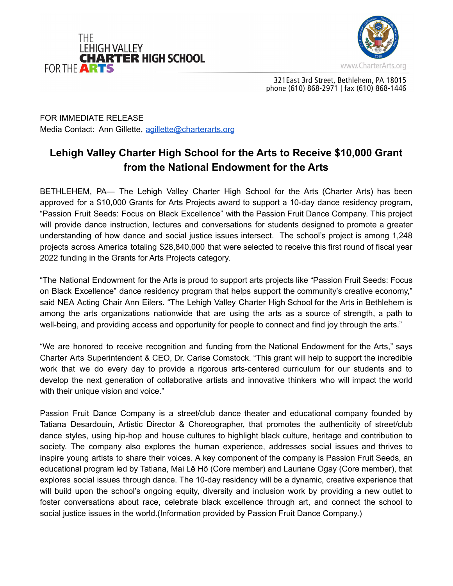



321 East 3rd Street, Bethlehem, PA 18015 phone (610) 868-2971 | fax (610) 868-1446

FOR IMMEDIATE RELEASE Media Contact: Ann Gillette, [agillette@charterarts.org](mailto:agillette@charterarts.org)

## **Lehigh Valley Charter High School for the Arts to Receive \$10,000 Grant from the National Endowment for the Arts**

BETHLEHEM, PA— The Lehigh Valley Charter High School for the Arts (Charter Arts) has been approved for a \$10,000 Grants for Arts Projects award to support a 10-day dance residency program, "Passion Fruit Seeds: Focus on Black Excellence" with the Passion Fruit Dance Company. This project will provide dance instruction, lectures and conversations for students designed to promote a greater understanding of how dance and social justice issues intersect. The school's project is among 1,248 projects across America totaling \$28,840,000 that were selected to receive this first round of fiscal year 2022 funding in the Grants for Arts Projects category.

"The National Endowment for the Arts is proud to support arts projects like "Passion Fruit Seeds: Focus on Black Excellence" dance residency program that helps support the community's creative economy," said NEA Acting Chair Ann Eilers. "The Lehigh Valley Charter High School for the Arts in Bethlehem is among the arts organizations nationwide that are using the arts as a source of strength, a path to well-being, and providing access and opportunity for people to connect and find joy through the arts."

"We are honored to receive recognition and funding from the National Endowment for the Arts," says Charter Arts Superintendent & CEO, Dr. Carise Comstock. "This grant will help to support the incredible work that we do every day to provide a rigorous arts-centered curriculum for our students and to develop the next generation of collaborative artists and innovative thinkers who will impact the world with their unique vision and voice."

Passion Fruit Dance Company is a street/club dance theater and educational company founded by Tatiana Desardouin, Artistic Director & Choreographer, that promotes the authenticity of street/club dance styles, using hip-hop and house cultures to highlight black culture, heritage and contribution to society. The company also explores the human experience, addresses social issues and thrives to inspire young artists to share their voices. A key component of the company is Passion Fruit Seeds, an educational program led by Tatiana, Mai Lê Hô (Core member) and Lauriane Ogay (Core member), that explores social issues through dance. The 10-day residency will be a dynamic, creative experience that will build upon the school's ongoing equity, diversity and inclusion work by providing a new outlet to foster conversations about race, celebrate black excellence through art, and connect the school to social justice issues in the world.(Information provided by Passion Fruit Dance Company.)